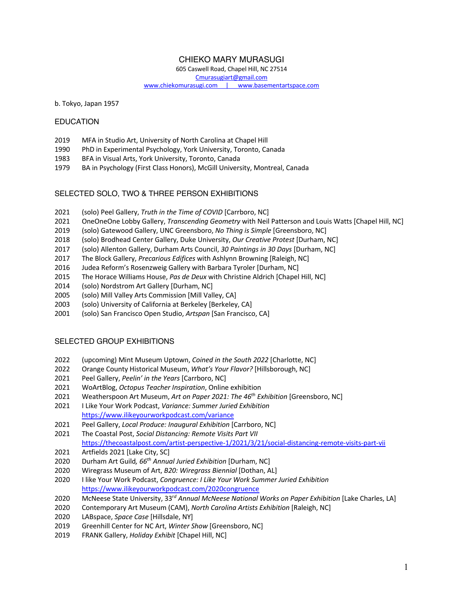# CHIEKO MARY MURASUGI

605 Caswell Road, Chapel Hill, NC 27514

Cmurasugiart@gmail.com

www.chiekomurasugi.com | www.basementartspace.com

b. Tokyo, Japan 1957

### EDUCATION

- MFA in Studio Art, University of North Carolina at Chapel Hill
- PhD in Experimental Psychology, York University, Toronto, Canada
- BFA in Visual Arts, York University, Toronto, Canada
- BA in Psychology (First Class Honors), McGill University, Montreal, Canada

## SELECTED SOLO, TWO & THREE PERSON EXHIBITIONS

- (solo) Peel Gallery, *Truth in the Time of COVID* [Carrboro, NC]
- OneOneOne Lobby Gallery, *Transcending Geometry* with Neil Patterson and Louis Watts [Chapel Hill, NC]
- (solo) Gatewood Gallery, UNC Greensboro, *No Thing is Simple* [Greensboro, NC]
- (solo) Brodhead Center Gallery, Duke University, *Our Creative Protest* [Durham, NC]
- (solo) Allenton Gallery, Durham Arts Council, *30 Paintings in 30 Days* [Durham, NC]
- The Block Gallery, *Precarious Edifices* with Ashlynn Browning [Raleigh, NC]
- Judea Reform's Rosenzweig Gallery with Barbara Tyroler [Durham, NC]
- The Horace Williams House, *Pas de Deux* with Christine Aldrich [Chapel Hill, NC]
- (solo) Nordstrom Art Gallery [Durham, NC]
- (solo) Mill Valley Arts Commission [Mill Valley, CA]
- (solo) University of California at Berkeley [Berkeley, CA]
- 2001 (solo) San Francisco Open Studio, *Artspan* [San Francisco, CA]

### SELECTED GROUP EXHIBITIONS

- (upcoming) Mint Museum Uptown, *Coined in the South 2022* [Charlotte, NC]
- Orange County Historical Museum, *What's Your Flavor?* [Hillsborough, NC]
- Peel Gallery, *Peelin' in the Years* [Carrboro, NC]
- WoArtBlog, *Octopus Teacher Inspiration*, Online exhibition
- Weatherspoon Art Museum, *Art on Paper 2021: The 46th Exhibition* [Greensboro, NC]
- I Like Your Work Podcast, *Variance: Summer Juried Exhibition* https://www.ilikeyourworkpodcast.com/variance
- Peel Gallery, *Local Produce: Inaugural Exhibition* [Carrboro, NC]
- The Coastal Post, *Social Distancing: Remote Visits Part VII* https://thecoastalpost.com/artist-perspective-1/2021/3/21/social-distancing-remote-visits-part-vii
- Artfields 2021 [Lake City, SC]
- Durham Art Guild*, 66th Annual Juried Exhibition* [Durham, NC]
- 2020 Wiregrass Museum of Art, *B20: Wiregrass Biennial* [Dothan, AL]
- I like Your Work Podcast, *Congruence: I Like Your Work Summer Juried Exhibition* https://www.ilikeyourworkpodcast.com/2020congruence
- McNeese State University, 33r*<sup>d</sup> Annual McNeese National Works on Paper Exhibition* [Lake Charles, LA]
- 2020 Contemporary Art Museum (CAM), *North Carolina Artists Exhibition* [Raleigh, NC]
- LABspace, *Space Case* [Hillsdale, NY]
- Greenhill Center for NC Art, *Winter Show* [Greensboro, NC]
- FRANK Gallery, *Holiday Exhibit* [Chapel Hill, NC]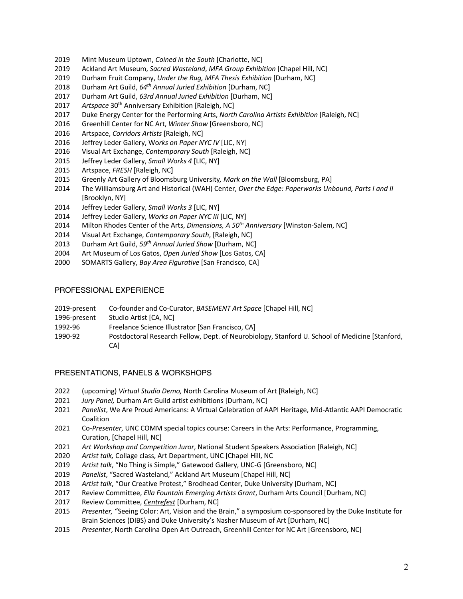- Mint Museum Uptown, *Coined in the South* [Charlotte, NC]
- Ackland Art Museum, *Sacred Wasteland*, *MFA Group Exhibition* [Chapel Hill, NC]
- Durham Fruit Company, *Under the Rug, MFA Thesis Exhibition* [Durham, NC]
- Durham Art Guild, *64th Annual Juried Exhibition* [Durham, NC]
- Durham Art Guild, *63rd Annual Juried Exhibition* [Durham, NC]
- *Artspace* 30th Anniversary Exhibition [Raleigh, NC]
- Duke Energy Center for the Performing Arts, *North Carolina Artists Exhibition* [Raleigh, NC]
- Greenhill Center for NC Art, *Winter Show* [Greensboro, NC]
- Artspace, *Corridors Artists* [Raleigh, NC]
- Jeffrey Leder Gallery, Wo*rks on Paper NYC IV* [LIC, NY]
- Visual Art Exchange, *Contemporary South* [Raleigh, NC]
- Jeffrey Leder Gallery, *Small Works 4* [LIC, NY]
- Artspace, *FRESH* [Raleigh, NC]
- Greenly Art Gallery of Bloomsburg University*, Mark on the Wall* [Bloomsburg, PA]
- 2014 The Williamsburg Art and Historical (WAH) Center, *Over the Edge: Paperworks Unbound, Parts I and II*  [Brooklyn, NY]
- Jeffrey Leder Gallery, *Small Works 3* [LIC, NY]
- Jeffrey Leder Gallery, *Works on Paper NYC III* [LIC, NY]
- Milton Rhodes Center of the Arts, *Dimensions, A 50th Anniversary* [Winston-Salem, NC]
- Visual Art Exchange, *Contemporary South*, [Raleigh, NC]
- Durham Art Guild, *59th Annual Juried Show* [Durham, NC]
- Art Museum of Los Gatos, *Open Juried Show* [Los Gatos, CA]
- SOMARTS Gallery, *Bay Area Figurative* [San Francisco, CA]

#### PROFESSIONAL EXPERIENCE

| 2019-present | Co-founder and Co-Curator, BASEMENT Art Space [Chapel Hill, NC]                                |
|--------------|------------------------------------------------------------------------------------------------|
| 1996-present | Studio Artist [CA, NC]                                                                         |
| 1992-96      | Freelance Science Illustrator [San Francisco, CA]                                              |
| 1990-92      | Postdoctoral Research Fellow, Dept. of Neurobiology, Stanford U. School of Medicine [Stanford, |
|              | CA1                                                                                            |

### PRESENTATIONS, PANELS & WORKSHOPS

- (upcoming) *Virtual Studio Demo,* North Carolina Museum of Art [Raleigh, NC]
- *Jury Panel,* Durham Art Guild artist exhibitions [Durham, NC]
- *Panelist*, We Are Proud Americans: A Virtual Celebration of AAPI Heritage, Mid-Atlantic AAPI Democratic Coalition
- Co-*Presenter*, UNC COMM special topics course: Careers in the Arts: Performance, Programming, Curation, [Chapel Hill, NC]
- *Art Workshop and Competition Juror*, National Student Speakers Association [Raleigh, NC]
- *Artist talk,* Collage class, Art Department, UNC [Chapel Hill, NC
- *Artist talk*, "No Thing is Simple," Gatewood Gallery, UNC-G [Greensboro, NC]
- *Panelist*, "Sacred Wasteland," Ackland Art Museum [Chapel Hill, NC]
- *Artist talk*, "Our Creative Protest," Brodhead Center, Duke University [Durham, NC]
- Review Committee, *Ella Fountain Emerging Artists Grant*, Durham Arts Council [Durham, NC]
- Review Committee, *Centrefest* [Durham, NC]
- *Presenter,* "Seeing Color: Art, Vision and the Brain," a symposium co-sponsored by the Duke Institute for Brain Sciences (DIBS) and Duke University's Nasher Museum of Art [Durham, NC]
- *Presenter*, North Carolina Open Art Outreach, Greenhill Center for NC Art [Greensboro, NC]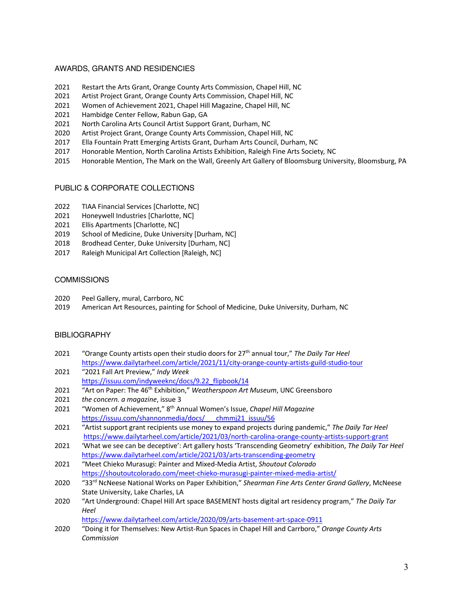# AWARDS, GRANTS AND RESIDENCIES

- 2021 Restart the Arts Grant, Orange County Arts Commission, Chapel Hill, NC
- 2021 Artist Project Grant, Orange County Arts Commission, Chapel Hill, NC
- 2021 Women of Achievement 2021, Chapel Hill Magazine, Chapel Hill, NC
- 2021 Hambidge Center Fellow, Rabun Gap, GA
- 2021 North Carolina Arts Council Artist Support Grant, Durham, NC
- 2020 Artist Project Grant, Orange County Arts Commission, Chapel Hill, NC
- 2017 Ella Fountain Pratt Emerging Artists Grant, Durham Arts Council, Durham, NC
- 2017 Honorable Mention, North Carolina Artists Exhibition, Raleigh Fine Arts Society*,* NC
- 2015 Honorable Mention, The Mark on the Wall, Greenly Art Gallery of Bloomsburg University, Bloomsburg, PA

### PUBLIC & CORPORATE COLLECTIONS

- 2022 TIAA Financial Services [Charlotte, NC]
- 2021 Honeywell Industries [Charlotte, NC]
- 2021 Ellis Apartments [Charlotte, NC]
- 2019 School of Medicine, Duke University [Durham, NC]
- 2018 Brodhead Center, Duke University [Durham, NC]
- 2017 Raleigh Municipal Art Collection [Raleigh, NC]

#### **COMMISSIONS**

- 2020 Peel Gallery, mural, Carrboro, NC
- 2019 American Art Resources, painting for School of Medicine, Duke University, Durham, NC

### **BIBLIOGRAPHY**

- 2021 "Orange County artists open their studio doors for 27th annual tour," *The Daily Tar Heel* https://www.dailytarheel.com/article/2021/11/city-orange-county-artists-guild-studio-tour
- 2021 "2021 Fall Art Preview," *Indy Week* https://issuu.com/indyweeknc/docs/9.22\_flipbook/14
- 2021 "Art on Paper: The 46<sup>th</sup> Exhibition," *Weatherspoon Art Museum*, UNC Greensboro
- 2021 *the concern. a magazine*, issue 3
- 2021 "Women of Achievement," 8th Annual Women's Issue, *Chapel Hill Magazine* https://issuu.com/shannonmedia/docs/\_\_\_chmmj21\_issuu/56
- 2021 "Artist support grant recipients use money to expand projects during pandemic," *The Daily Tar Heel* https://www.dailytarheel.com/article/2021/03/north-carolina-orange-county-artists-support-grant
- 2021 'What we see can be deceptive': Art gallery hosts 'Transcending Geometry' exhibition, *The Daily Tar Heel* https://www.dailytarheel.com/article/2021/03/arts-transcending-geometry
- 2021 "Meet Chieko Murasugi: Painter and Mixed-Media Artist, *Shoutout Colorado* https://shoutoutcolorado.com/meet-chieko-murasugi-painter-mixed-media-artist/
- 2020 "33rd NcNeese National Works on Paper Exhibition," *Shearman Fine Arts Center Grand Gallery*, McNeese State University, Lake Charles, LA
- 2020 "Art Underground: Chapel Hill Art space BASEMENT hosts digital art residency program," *The Daily Tar Heel*

https://www.dailytarheel.com/article/2020/09/arts-basement-art-space-0911

2020 "Doing it for Themselves: New Artist-Run Spaces in Chapel Hill and Carrboro," *Orange County Arts Commission*